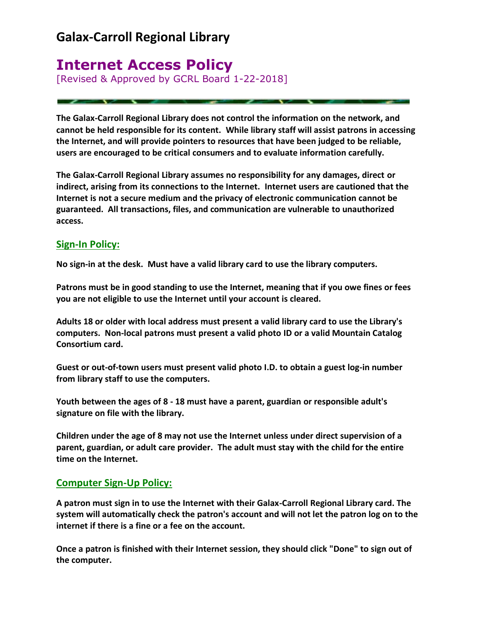# **Galax-Carroll Regional Library**

# **Internet Access Policy**

[Revised & Approved by GCRL Board 1-22-2018]

**The Galax-Carroll Regional Library does not control the information on the network, and cannot be held responsible for its content. While library staff will assist patrons in accessing the Internet, and will provide pointers to resources that have been judged to be reliable, users are encouraged to be critical consumers and to evaluate information carefully.**

**The Galax-Carroll Regional Library assumes no responsibility for any damages, direct or indirect, arising from its connections to the Internet. Internet users are cautioned that the Internet is not a secure medium and the privacy of electronic communication cannot be guaranteed. All transactions, files, and communication are vulnerable to unauthorized access.**

## **Sign-In Policy:**

**No sign-in at the desk. Must have a valid library card to use the library computers.**

**Patrons must be in good standing to use the Internet, meaning that if you owe fines or fees you are not eligible to use the Internet until your account is cleared.**

**Adults 18 or older with local address must present a valid library card to use the Library's computers. Non-local patrons must present a valid photo ID or a valid Mountain Catalog Consortium card.**

**Guest or out-of-town users must present valid photo I.D. to obtain a guest log-in number from library staff to use the computers.**

**Youth between the ages of 8 - 18 must have a parent, guardian or responsible adult's signature on file with the library.**

**Children under the age of 8 may not use the Internet unless under direct supervision of a parent, guardian, or adult care provider. The adult must stay with the child for the entire time on the Internet.**

### **Computer Sign-Up Policy:**

**A patron must sign in to use the Internet with their Galax-Carroll Regional Library card. The system will automatically check the patron's account and will not let the patron log on to the internet if there is a fine or a fee on the account[.](http://galaxcarroll.lib.va.us/InternetAccess.htm)**

**Once a patron is finished with their Internet session, they should click "Done" to sign out of the computer.**